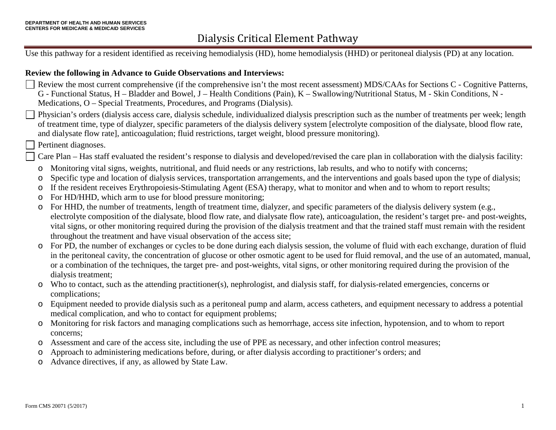Use this pathway for a resident identified as receiving hemodialysis (HD), home hemodialysis (HHD) or peritoneal dialysis (PD) at any location.

#### **Review the following in Advance to Guide Observations and Interviews:**

- Review the most current comprehensive (if the comprehensive isn't the most recent assessment) MDS/CAAs for Sections C Cognitive Patterns, G - Functional Status, H – Bladder and Bowel, J – Health Conditions (Pain), K – Swallowing/Nutritional Status, M - Skin Conditions, N - Medications, O – Special Treatments, Procedures, and Programs (Dialysis).
- Physician's orders (dialysis access care, dialysis schedule, individualized dialysis prescription such as the number of treatments per week; length of treatment time, type of dialyzer, specific parameters of the dialysis delivery system [electrolyte composition of the dialysate, blood flow rate, and dialysate flow rate], anticoagulation; fluid restrictions, target weight, blood pressure monitoring).
	- Pertinent diagnoses.
	- Care Plan Has staff evaluated the resident's response to dialysis and developed/revised the care plan in collaboration with the dialysis facility:
	- o Monitoring vital signs, weights, nutritional, and fluid needs or any restrictions, lab results, and who to notify with concerns;
	- o Specific type and location of dialysis services, transportation arrangements, and the interventions and goals based upon the type of dialysis;
	- o If the resident receives Erythropoiesis-Stimulating Agent (ESA) therapy, what to monitor and when and to whom to report results;
	- o For HD/HHD, which arm to use for blood pressure monitoring;
	- o For HHD, the number of treatments, length of treatment time, dialyzer, and specific parameters of the dialysis delivery system (e.g., electrolyte composition of the dialysate, blood flow rate, and dialysate flow rate), anticoagulation, the resident's target pre- and post-weights, vital signs, or other monitoring required during the provision of the dialysis treatment and that the trained staff must remain with the resident throughout the treatment and have visual observation of the access site;
	- o For PD, the number of exchanges or cycles to be done during each dialysis session, the volume of fluid with each exchange, duration of fluid in the peritoneal cavity, the concentration of glucose or other osmotic agent to be used for fluid removal, and the use of an automated, manual, or a combination of the techniques, the target pre- and post-weights, vital signs, or other monitoring required during the provision of the dialysis treatment;
	- o Who to contact, such as the attending practitioner(s), nephrologist, and dialysis staff, for dialysis-related emergencies, concerns or complications;
	- o Equipment needed to provide dialysis such as a peritoneal pump and alarm, access catheters, and equipment necessary to address a potential medical complication, and who to contact for equipment problems;
	- o Monitoring for risk factors and managing complications such as hemorrhage, access site infection, hypotension, and to whom to report concerns;
	- o Assessment and care of the access site, including the use of PPE as necessary, and other infection control measures;
	- o Approach to administering medications before, during, or after dialysis according to practitioner's orders; and
	- o Advance directives, if any, as allowed by State Law.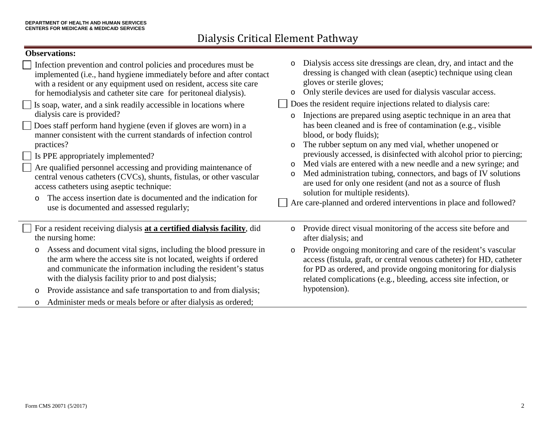### **Observations:**

| Infection prevention and control policies and procedures must be<br>implemented (i.e., hand hygiene immediately before and after contact<br>with a resident or any equipment used on resident, access site care<br>for hemodialysis and catheter site care for peritoneal dialysis).<br>Is soap, water, and a sink readily accessible in locations where<br>dialysis care is provided?<br>Does staff perform hand hygiene (even if gloves are worn) in a<br>manner consistent with the current standards of infection control<br>practices?<br>Is PPE appropriately implemented?<br>Are qualified personnel accessing and providing maintenance of<br>central venous catheters (CVCs), shunts, fistulas, or other vascular<br>access catheters using aseptic technique:<br>The access insertion date is documented and the indication for<br>use is documented and assessed regularly; | Dialysis access site dressings are clean, dry, and intact and the<br>$\circ$<br>dressing is changed with clean (aseptic) technique using clean<br>gloves or sterile gloves;<br>Only sterile devices are used for dialysis vascular access.<br>$\circ$<br>Does the resident require injections related to dialysis care:<br>Injections are prepared using aseptic technique in an area that<br>O<br>has been cleaned and is free of contamination (e.g., visible<br>blood, or body fluids);<br>The rubber septum on any med vial, whether unopened or<br>$\circ$<br>previously accessed, is disinfected with alcohol prior to piercing;<br>Med vials are entered with a new needle and a new syringe; and<br>$\circ$<br>Med administration tubing, connectors, and bags of IV solutions<br>$\circ$<br>are used for only one resident (and not as a source of flush<br>solution for multiple residents).<br>Are care-planned and ordered interventions in place and followed? |
|----------------------------------------------------------------------------------------------------------------------------------------------------------------------------------------------------------------------------------------------------------------------------------------------------------------------------------------------------------------------------------------------------------------------------------------------------------------------------------------------------------------------------------------------------------------------------------------------------------------------------------------------------------------------------------------------------------------------------------------------------------------------------------------------------------------------------------------------------------------------------------------|-----------------------------------------------------------------------------------------------------------------------------------------------------------------------------------------------------------------------------------------------------------------------------------------------------------------------------------------------------------------------------------------------------------------------------------------------------------------------------------------------------------------------------------------------------------------------------------------------------------------------------------------------------------------------------------------------------------------------------------------------------------------------------------------------------------------------------------------------------------------------------------------------------------------------------------------------------------------------------|
| For a resident receiving dialysis at a certified dialysis facility, did<br>the nursing home:                                                                                                                                                                                                                                                                                                                                                                                                                                                                                                                                                                                                                                                                                                                                                                                           | Provide direct visual monitoring of the access site before and<br>$\circ$<br>after dialysis; and                                                                                                                                                                                                                                                                                                                                                                                                                                                                                                                                                                                                                                                                                                                                                                                                                                                                            |
| Assess and document vital signs, including the blood pressure in<br>$\circ$<br>the arm where the access site is not located, weights if ordered<br>and communicate the information including the resident's status<br>with the dialysis facility prior to and post dialysis;                                                                                                                                                                                                                                                                                                                                                                                                                                                                                                                                                                                                           | Provide ongoing monitoring and care of the resident's vascular<br>$\circ$<br>access (fistula, graft, or central venous catheter) for HD, catheter<br>for PD as ordered, and provide ongoing monitoring for dialysis<br>related complications (e.g., bleeding, access site infection, or                                                                                                                                                                                                                                                                                                                                                                                                                                                                                                                                                                                                                                                                                     |
| Provide assistance and safe transportation to and from dialysis;<br>$\circ$                                                                                                                                                                                                                                                                                                                                                                                                                                                                                                                                                                                                                                                                                                                                                                                                            | hypotension).                                                                                                                                                                                                                                                                                                                                                                                                                                                                                                                                                                                                                                                                                                                                                                                                                                                                                                                                                               |
| Administer meds or meals before or after dialysis as ordered;<br>$\circ$                                                                                                                                                                                                                                                                                                                                                                                                                                                                                                                                                                                                                                                                                                                                                                                                               |                                                                                                                                                                                                                                                                                                                                                                                                                                                                                                                                                                                                                                                                                                                                                                                                                                                                                                                                                                             |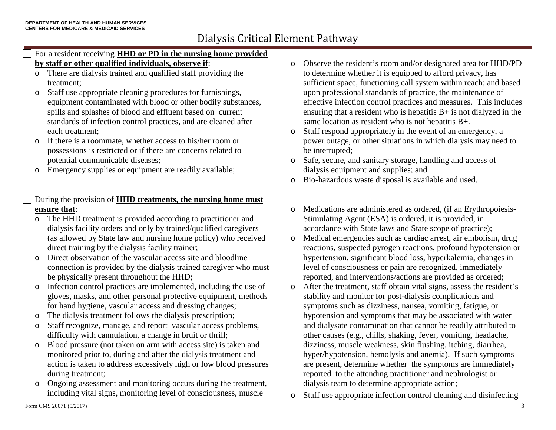### For a resident receiving **HHD or PD in the nursing home provided by staff or other qualified individuals, observe if**:

- o There are dialysis trained and qualified staff providing the treatment;
- o Staff use appropriate cleaning procedures for furnishings, equipment contaminated with blood or other bodily substances, spills and splashes of blood and effluent based on current standards of infection control practices, and are cleaned after each treatment;
- o If there is a roommate, whether access to his/her room or possessions is restricted or if there are concerns related to potential communicable diseases;
- o Emergency supplies or equipment are readily available;

### During the provision of **HHD treatments, the nursing home must ensure that**:

- o The HHD treatment is provided according to practitioner and dialysis facility orders and only by trained/qualified caregivers (as allowed by State law and nursing home policy) who received direct training by the dialysis facility trainer;
- o Direct observation of the vascular access site and bloodline connection is provided by the dialysis trained caregiver who must be physically present throughout the HHD;
- o Infection control practices are implemented, including the use of gloves, masks, and other personal protective equipment, methods for hand hygiene, vascular access and dressing changes;
- o The dialysis treatment follows the dialysis prescription;
- o Staff recognize, manage, and report vascular access problems, difficulty with cannulation, a change in bruit or thrill;
- o Blood pressure (not taken on arm with access site) is taken and monitored prior to, during and after the dialysis treatment and action is taken to address excessively high or low blood pressures during treatment;
- o Ongoing assessment and monitoring occurs during the treatment, including vital signs, monitoring level of consciousness, muscle
- o Observe the resident's room and/or designated area for HHD/PD to determine whether it is equipped to afford privacy, has sufficient space, functioning call system within reach; and based upon professional standards of practice, the maintenance of effective infection control practices and measures. This includes ensuring that a resident who is hepatitis  $B+$  is not dialyzed in the same location as resident who is not hepatitis B+.
- o Staff respond appropriately in the event of an emergency, a power outage, or other situations in which dialysis may need to be interrupted;
- o Safe, secure, and sanitary storage, handling and access of dialysis equipment and supplies; and
- o Bio-hazardous waste disposal is available and used.
- o Medications are administered as ordered, (if an Erythropoiesis-Stimulating Agent (ESA) is ordered, it is provided, in accordance with State laws and State scope of practice);
- o Medical emergencies such as cardiac arrest, air embolism, drug reactions, suspected pyrogen reactions, profound hypotension or hypertension, significant blood loss, hyperkalemia, changes in level of consciousness or pain are recognized, immediately reported, and interventions/actions are provided as ordered;
- o After the treatment, staff obtain vital signs, assess the resident's stability and monitor for post-dialysis complications and symptoms such as dizziness, nausea, vomiting, fatigue, or hypotension and symptoms that may be associated with water and dialysate contamination that cannot be readily attributed to other causes (e.g., chills, shaking, fever, vomiting, headache, dizziness, muscle weakness, skin flushing, itching, diarrhea, hyper/hypotension, hemolysis and anemia). If such symptoms are present, determine whether the symptoms are immediately reported to the attending practitioner and nephrologist or dialysis team to determine appropriate action;
- o Staff use appropriate infection control cleaning and disinfecting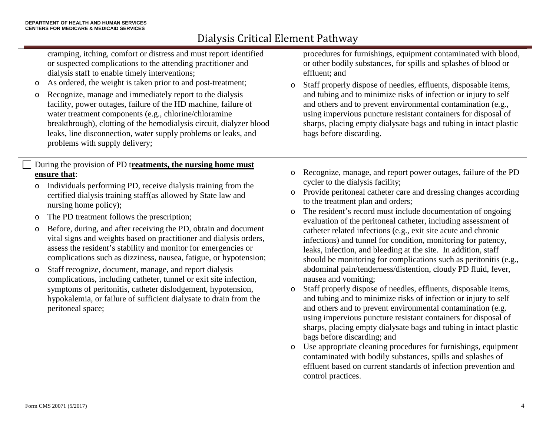cramping, itching, comfort or distress and must report identified or suspected complications to the attending practitioner and dialysis staff to enable timely interventions;

- o As ordered, the weight is taken prior to and post-treatment;
- o Recognize, manage and immediately report to the dialysis facility, power outages, failure of the HD machine, failure of water treatment components (e.g., chlorine/chloramine breakthrough), clotting of the hemodialysis circuit, dialyzer blood leaks, line disconnection, water supply problems or leaks, and problems with supply delivery;

#### During the provision of PD t**reatments, the nursing home must ensure that**:

- o Individuals performing PD, receive dialysis training from the certified dialysis training staff(as allowed by State law and nursing home policy);
- o The PD treatment follows the prescription;
- o Before, during, and after receiving the PD, obtain and document vital signs and weights based on practitioner and dialysis orders, assess the resident's stability and monitor for emergencies or complications such as dizziness, nausea, fatigue, or hypotension;
- o Staff recognize, document, manage, and report dialysis complications, including catheter, tunnel or exit site infection, symptoms of peritonitis, catheter dislodgement, hypotension, hypokalemia, or failure of sufficient dialysate to drain from the peritoneal space;

procedures for furnishings, equipment contaminated with blood, or other bodily substances, for spills and splashes of blood or effluent; and

- o Staff properly dispose of needles, effluents, disposable items, and tubing and to minimize risks of infection or injury to self and others and to prevent environmental contamination (e.g., using impervious puncture resistant containers for disposal of sharps, placing empty dialysate bags and tubing in intact plastic bags before discarding.
- o Recognize, manage, and report power outages, failure of the PD cycler to the dialysis facility;
- o Provide peritoneal catheter care and dressing changes according to the treatment plan and orders;
- o The resident's record must include documentation of ongoing evaluation of the peritoneal catheter, including assessment of catheter related infections (e.g., exit site acute and chronic infections) and tunnel for condition, monitoring for patency, leaks, infection, and bleeding at the site. In addition, staff should be monitoring for complications such as peritonitis (e.g., abdominal pain/tenderness/distention, cloudy PD fluid, fever, nausea and vomiting;
- o Staff properly dispose of needles, effluents, disposable items, and tubing and to minimize risks of infection or injury to self and others and to prevent environmental contamination (e.g. using impervious puncture resistant containers for disposal of sharps, placing empty dialysate bags and tubing in intact plastic bags before discarding; and
- o Use appropriate cleaning procedures for furnishings, equipment contaminated with bodily substances, spills and splashes of effluent based on current standards of infection prevention and control practices.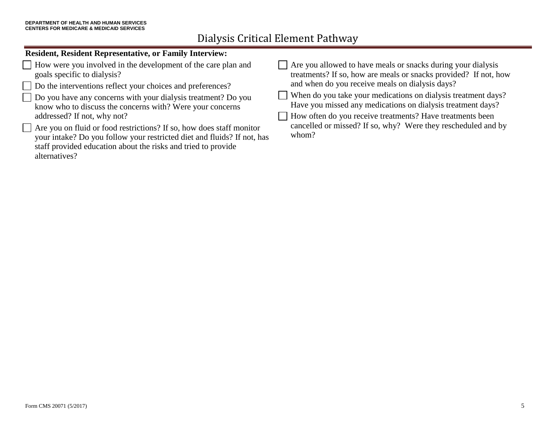### **Resident, Resident Representative, or Family Interview:**

| How were you involved in the development of the care plan and           | Are you allowed to have meals or snacks during your dialysis     |
|-------------------------------------------------------------------------|------------------------------------------------------------------|
| goals specific to dialysis?                                             | treatments? If so, how are meals or snacks provided? If not, how |
| Do the interventions reflect your choices and preferences?              | and when do you receive meals on dialysis days?                  |
| Do you have any concerns with your dialysis treatment? Do you           | When do you take your medications on dialysis treatment days?    |
| know who to discuss the concerns with? Were your concerns               | Have you missed any medications on dialysis treatment days?      |
| addressed? If not, why not?                                             | How often do you receive treatments? Have treatments been        |
| Are you on fluid or food restrictions? If so, how does staff monitor    | cancelled or missed? If so, why? Were they rescheduled and by    |
| your intake? Do you follow your restricted diet and fluids? If not, has | whom?                                                            |
| staff provided education about the risks and tried to provide           |                                                                  |
| alternatives?                                                           |                                                                  |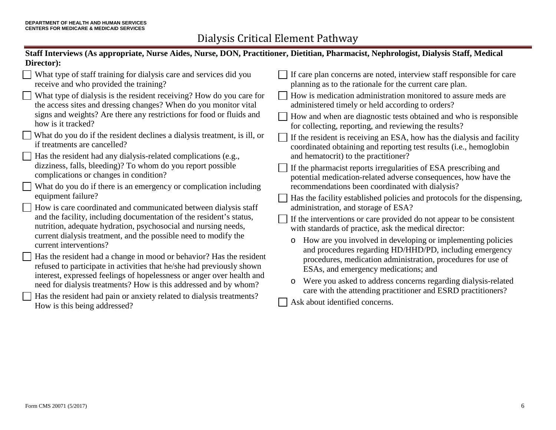| Staff Interviews (As appropriate, Nurse Aides, Nurse, DON, Practitioner, Dietitian, Pharmacist, Nephrologist, Dialysis Staff, Medical |                                                                                   |  |  |
|---------------------------------------------------------------------------------------------------------------------------------------|-----------------------------------------------------------------------------------|--|--|
| Director):                                                                                                                            |                                                                                   |  |  |
| What type of staff training for dialysis care and services did you                                                                    | $\parallel$ If care plan concerns are noted, interview staff responsible for care |  |  |
| receive and who provided the training?                                                                                                | planning as to the rationale for the current care plan.                           |  |  |
| $\Box$ What type of dialysis is the resident receiving? How do you care for                                                           | How is medication administration monitored to assure meds are                     |  |  |
| the access sites and dressing changes? When do you monitor vital                                                                      | administered timely or held according to orders?                                  |  |  |
| signs and weights? Are there any restrictions for food or fluids and                                                                  | How and when are diagnostic tests obtained and who is responsible                 |  |  |
| how is it tracked?                                                                                                                    | for collecting, reporting, and reviewing the results?                             |  |  |
| What do you do if the resident declines a dialysis treatment, is ill, or                                                              | $\Box$ If the resident is receiving an ESA, how has the dialysis and facility     |  |  |
| if treatments are cancelled?                                                                                                          | coordinated obtaining and reporting test results (i.e., hemoglobin                |  |  |

- Has the resident had any dialysis-related complications (e.g., dizziness, falls, bleeding)? To whom do you report possible complications or changes in condition?
- What do you do if there is an emergency or complication including equipment failure?
- How is care coordinated and communicated between dialysis staff and the facility, including documentation of the resident's status, nutrition, adequate hydration, psychosocial and nursing needs, current dialysis treatment, and the possible need to modify the current interventions?
- Has the resident had a change in mood or behavior? Has the resident refused to participate in activities that he/she had previously shown interest, expressed feelings of hopelessness or anger over health and need for dialysis treatments? How is this addressed and by whom?
- Has the resident had pain or anxiety related to dialysis treatments? How is this being addressed?

 $\Box$  Has the facility established policies and protocols for the dispensing, administration, and storage of ESA? If the interventions or care provided do not appear to be consistent

If the pharmacist reports irregularities of ESA prescribing and potential medication-related adverse consequences, how have the

recommendations been coordinated with dialysis?

- with standards of practice, ask the medical director:
- o How are you involved in developing or implementing policies and procedures regarding HD/HHD/PD, including emergency procedures, medication administration, procedures for use of ESAs, and emergency medications; and
- o Were you asked to address concerns regarding dialysis-related care with the attending practitioner and ESRD practitioners?
- Ask about identified concerns.

and hematocrit) to the practitioner?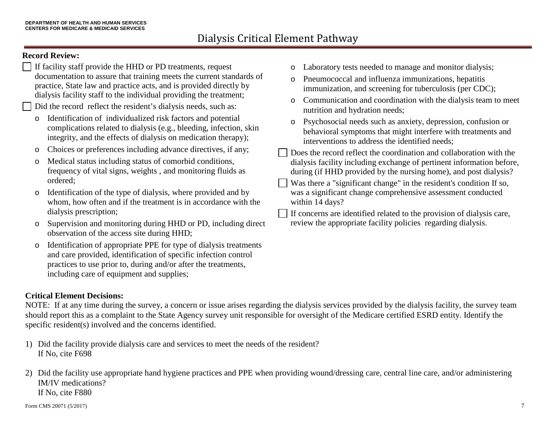### **Record Review:**

- If facility staff provide the HHD or PD treatments, request documentation to assure that training meets the current standards of practice, State law and practice acts, and is provided directly by dialysis facility staff to the individual providing the treatment; Did the record reflect the resident's dialysis needs, such as: o Identification of individualized risk factors and potential complications related to dialysis (e.g., bleeding, infection, skin integrity, and the effects of dialysis on medication therapy); o Choices or preferences including advance directives, if any; o Medical status including status of comorbid conditions, frequency of vital signs, weights , and monitoring fluids as ordered; o Identification of the type of dialysis, where provided and by whom, how often and if the treatment is in accordance with the dialysis prescription; o Supervision and monitoring during HHD or PD, including direct observation of the access site during HHD; o Laboratory tests needed to manage and monitor dialysis; o Pneumococcal and influenza immunizations, hepatitis immunization, and screening for tuberculosis (per CDC); o Communication and coordination with the dialysis team to meet nutrition and hydration needs; o Psychosocial needs such as anxiety, depression, confusion or behavioral symptoms that might interfere with treatments and interventions to address the identified needs; Does the record reflect the coordination and collaboration with the dialysis facility including exchange of pertinent information before, during (if HHD provided by the nursing home), and post dialysis? Was there a "significant change" in the resident's condition If so, was a significant change comprehensive assessment conducted within 14 days? If concerns are identified related to the provision of dialysis care, review the appropriate facility policies regarding dialysis.
- o Identification of appropriate PPE for type of dialysis treatments and care provided, identification of specific infection control practices to use prior to, during and/or after the treatments, including care of equipment and supplies;

### **Critical Element Decisions:**

NOTE: If at any time during the survey, a concern or issue arises regarding the dialysis services provided by the dialysis facility, the survey team should report this as a complaint to the State Agency survey unit responsible for oversight of the Medicare certified ESRD entity. Identify the specific resident(s) involved and the concerns identified.

- 1) Did the facility provide dialysis care and services to meet the needs of the resident? If No, cite F698
- 2) Did the facility use appropriate hand hygiene practices and PPE when providing wound/dressing care, central line care, and/or administering IM/IV medications? If No, cite F880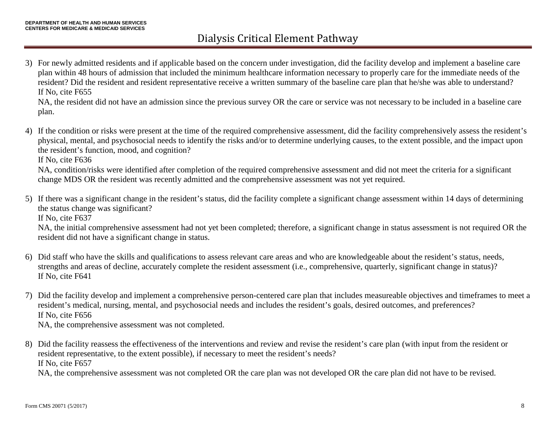3) For newly admitted residents and if applicable based on the concern under investigation, did the facility develop and implement a baseline care plan within 48 hours of admission that included the minimum healthcare information necessary to properly care for the immediate needs of the resident? Did the resident and resident representative receive a written summary of the baseline care plan that he/she was able to understand? If No, cite F655

NA, the resident did not have an admission since the previous survey OR the care or service was not necessary to be included in a baseline care plan.

4) If the condition or risks were present at the time of the required comprehensive assessment, did the facility comprehensively assess the resident's physical, mental, and psychosocial needs to identify the risks and/or to determine underlying causes, to the extent possible, and the impact upon the resident's function, mood, and cognition?

If No, cite F636

NA, condition/risks were identified after completion of the required comprehensive assessment and did not meet the criteria for a significant change MDS OR the resident was recently admitted and the comprehensive assessment was not yet required.

5) If there was a significant change in the resident's status, did the facility complete a significant change assessment within 14 days of determining the status change was significant? If No, cite F637

NA, the initial comprehensive assessment had not yet been completed; therefore, a significant change in status assessment is not required OR the resident did not have a significant change in status.

- 6) Did staff who have the skills and qualifications to assess relevant care areas and who are knowledgeable about the resident's status, needs, strengths and areas of decline, accurately complete the resident assessment (i.e., comprehensive, quarterly, significant change in status)? If No, cite F641
- 7) Did the facility develop and implement a comprehensive person-centered care plan that includes measureable objectives and timeframes to meet a resident's medical, nursing, mental, and psychosocial needs and includes the resident's goals, desired outcomes, and preferences? If No, cite F656

NA, the comprehensive assessment was not completed.

8) Did the facility reassess the effectiveness of the interventions and review and revise the resident's care plan (with input from the resident or resident representative, to the extent possible), if necessary to meet the resident's needs? If No, cite F657

NA, the comprehensive assessment was not completed OR the care plan was not developed OR the care plan did not have to be revised.